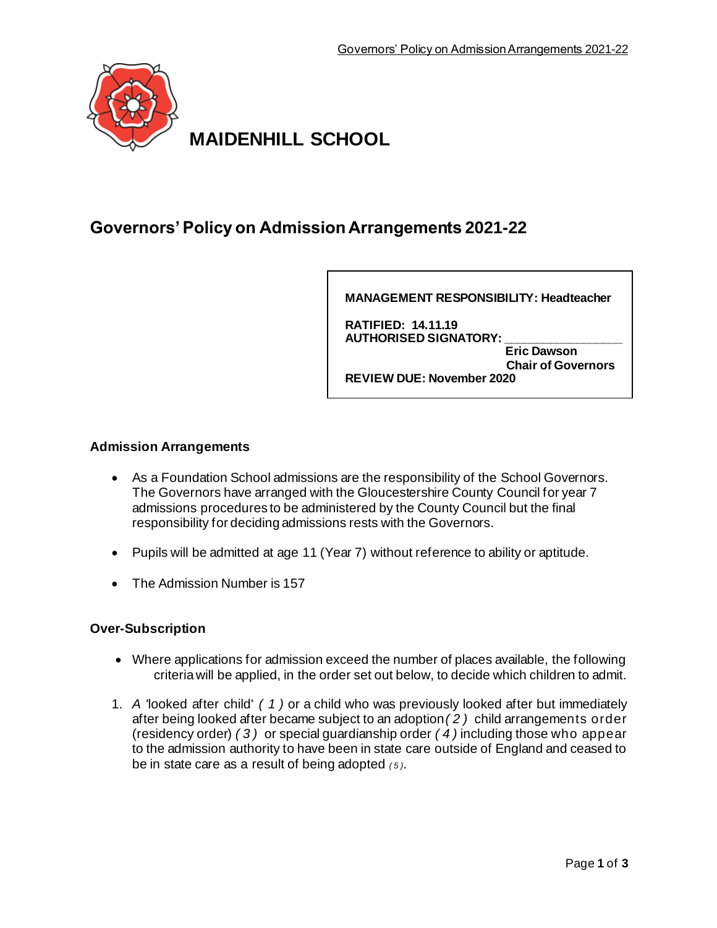

**MAIDENHILL SCHOOL**

# **Governors' Policy on Admission Arrangements 2021-22**

**MANAGEMENT RESPONSIBILITY: Headteacher**

**RATIFIED: 14.11.19 AUTHORISED SIGNATORY: \_\_\_\_\_\_\_\_\_\_\_\_\_\_\_\_\_\_ Eric Dawson Chair of Governors REVIEW DUE: November 2020**

# **Admission Arrangements**

- As a Foundation School admissions are the responsibility of the School Governors. The Governors have arranged with the Gloucestershire County Council for year 7 admissions procedures to be administered by the County Council but the final responsibility for deciding admissions rests with the Governors.
- Pupils will be admitted at age 11 (Year 7) without reference to ability or aptitude.
- The Admission Number is 157

# **Over-Subscription**

- Where applications for admission exceed the number of places available, the following criteria will be applied, in the order set out below, to decide which children to admit.
- 1. *A '*looked after child' *( 1 )* or a child who was previously looked after but immediately after being looked after became subject to an adoption*( 2 )* child arrangements order (residency order) *( 3 )* or special guardianship order *( 4 )* including those who appear to the admission authority to have been in state care outside of England and ceased to be in state care as a result of being adopted *( 5 )*.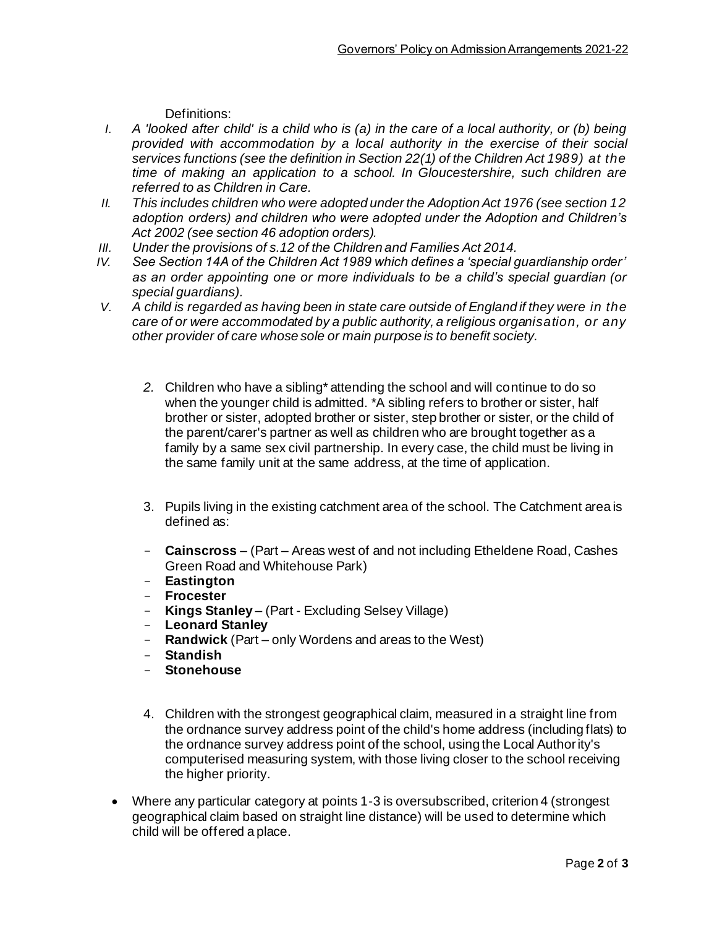Definitions:

- *I.* A 'looked after child' is a child who is (a) in the care of a local authority, or (b) being *provided with accommodation by a local authority in the exercise of their social services functions (see the definition in Section 22(1) of the Children Act 1989) at the time of making an application to a school. In Gloucestershire, such children are referred to as Children in Care.*
- *II. This includes children who were adopted under the Adoption Act 1976 (see section 12 adoption orders) and children who were adopted under the Adoption and Children's Act 2002 (see section 46 adoption orders).*
- *III. Under the provisions of s.12 of the Children and Families Act 2014.*
- *IV. See Section 14A of the Children Act 1989 which defines a 'special guardianship order' as an order appointing one or more individuals to be a child's special guardian (or special guardians).*
- *V. A child is regarded as having been in state care outside of England if they were in the care of or were accommodated by a public authority, a religious organisation, or any other provider of care whose sole or main purpose is to benefit society.*
	- *2.* Children who have a sibling\* attending the school and will continue to do so when the younger child is admitted. \*A sibling refers to brother or sister, half brother or sister, adopted brother or sister, step brother or sister, or the child of the parent/carer's partner as well as children who are brought together as a family by a same sex civil partnership. In every case, the child must be living in the same family unit at the same address, at the time of application.
	- 3. Pupils living in the existing catchment area of the school. The Catchment area is defined as:
	- **Cainscross**  (Part Areas west of and not including Etheldene Road, Cashes Green Road and Whitehouse Park)
	- **Eastington**
	- **Frocester**
	- **Kings Stanley**  (Part Excluding Selsey Village)
	- **Leonard Stanley**
	- **Randwick** (Part only Wordens and areas to the West)
	- **Standish**
	- **Stonehouse**
	- 4. Children with the strongest geographical claim, measured in a straight line from the ordnance survey address point of the child's home address (including flats) to the ordnance survey address point of the school, using the Local Authority's computerised measuring system, with those living closer to the school receiving the higher priority.
	- Where any particular category at points 1-3 is oversubscribed, criterion 4 (strongest geographical claim based on straight line distance) will be used to determine which child will be offered a place.